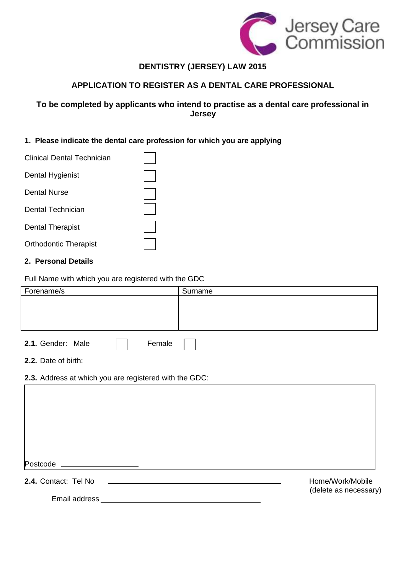

# **DENTISTRY (JERSEY) LAW 2015**

## **APPLICATION TO REGISTER AS A DENTAL CARE PROFESSIONAL**

## **To be completed by applicants who intend to practise as a dental care professional in Jersey**

## **1. Please indicate the dental care profession for which you are applying**

| Clinical Dental Technician   |  |
|------------------------------|--|
| Dental Hygienist             |  |
| Dental Nurse                 |  |
| Dental Technician            |  |
| <b>Dental Therapist</b>      |  |
| <b>Orthodontic Therapist</b> |  |

#### **2. Personal Details**

Full Name with which you are registered with the GDC

| Forename/s                                             | Surname               |  |  |  |
|--------------------------------------------------------|-----------------------|--|--|--|
|                                                        |                       |  |  |  |
|                                                        |                       |  |  |  |
|                                                        |                       |  |  |  |
| 2.1. Gender: Male<br>Female                            |                       |  |  |  |
| 2.2. Date of birth:                                    |                       |  |  |  |
| 2.3. Address at which you are registered with the GDC: |                       |  |  |  |
|                                                        |                       |  |  |  |
|                                                        |                       |  |  |  |
|                                                        |                       |  |  |  |
|                                                        |                       |  |  |  |
|                                                        |                       |  |  |  |
| Postcode _____________________                         |                       |  |  |  |
| 2.4. Contact: Tel No                                   | Home/Work/Mobile      |  |  |  |
| Email address <b>Email</b>                             | (delete as necessary) |  |  |  |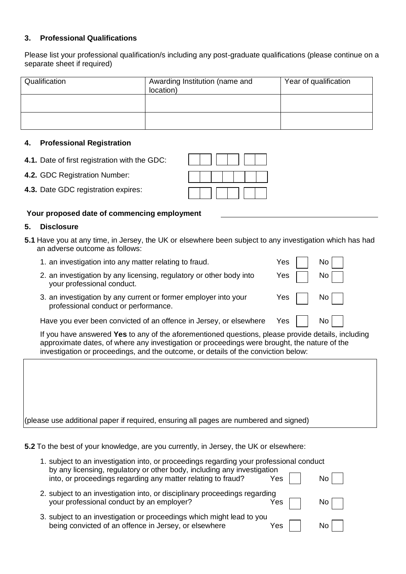### **3. Professional Qualifications**

Please list your professional qualification/s including any post-graduate qualifications (please continue on a separate sheet if required)

| Qualification | Awarding Institution (name and<br>location) | Year of qualification |
|---------------|---------------------------------------------|-----------------------|
|               |                                             |                       |
|               |                                             |                       |

#### **4. Professional Registration**

- **4.1.** Date of first registration with the GDC:
- **4.2.** GDC Registration Number:
- **4.3.** Date GDC registration expires:

## **Your proposed date of commencing employment**

#### **5. Disclosure**

- **5.1** Have you at any time, in Jersey, the UK or elsewhere been subject to any investigation which has had an adverse outcome as follows:
	- 1. an investigation into any matter relating to fraud. The Most Connection of the No
	- 2. an investigation by any licensing, regulatory or other body into  $Y$ es  $\parallel$  No your professional conduct.
	- 3. an investigation by any current or former employer into your  $Yes$  | No professional conduct or performance.

Have you ever been convicted of an offence in Jersey, or elsewhere  $Yes$   $\parallel$  No

If you have answered **Yes** to any of the aforementioned questions, please provide details, including approximate dates, of where any investigation or proceedings were brought, the nature of the investigation or proceedings, and the outcome, or details of the conviction below:

(please use additional paper if required, ensuring all pages are numbered and signed)

**5.2** To the best of your knowledge, are you currently, in Jersey, the UK or elsewhere:

| 1. subject to an investigation into, or proceedings regarding your professional conduct<br>by any licensing, regulatory or other body, including any investigation |     |  |    |
|--------------------------------------------------------------------------------------------------------------------------------------------------------------------|-----|--|----|
| into, or proceedings regarding any matter relating to fraud?                                                                                                       | Yes |  | Nο |
| 2. subject to an investigation into, or disciplinary proceedings regarding<br>your professional conduct by an employer?                                            | Yes |  | N0 |
| 3. subject to an investigation or proceedings which might lead to you<br>being convicted of an offence in Jersey, or elsewhere                                     | Yes |  | Nο |